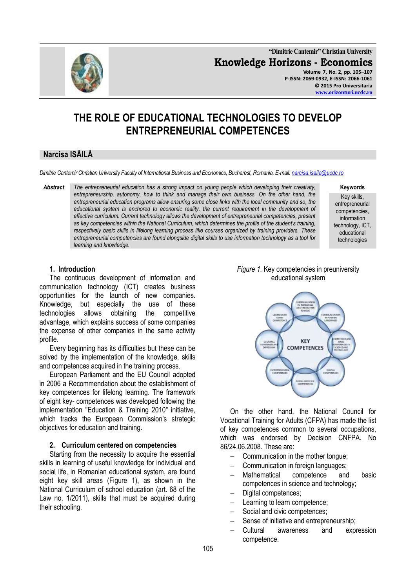

**"Dimitrie Cantemir" Christian University Knowledge Horizons - Economics Volume 7, No. 2, pp. 105–107 P-ISSN: 2069-0932, E-ISSN: 2066-1061 © 2015 Pro Universitaria [www.orizonturi.ucdc.ro](http://www.orizonturi.ucdc.ro/)**

# **THE ROLE OF EDUCATIONAL TECHNOLOGIES TO DEVELOP ENTREPRENEURIAL COMPETENCES**

## **Narcisa ISĂILĂ**

*Dimitrie Cantemir Christian University Faculty of International Business and Economics, Bucharest, Romania, E-mail[: narcisa.isaila@ucdc.ro](mailto:narcisa.isaila@ucdc.ro)*

*Abstract The entrepreneurial education has a strong impact on young people which developing their creativity, entrepreneurship, autonomy, how to think and manage their own business. On the other hand, the entrepreneurial education programs allow ensuring some close links with the local community and so, the educational system is anchored to economic reality, the current requirement in the development of effective curriculum. Current technology allows the development of entrepreneurial competencies, present as key competencies within the National Curriculum, which determines the profile of the student's training, respectively basic skills in lifelong learning process like courses organized by training providers. These entrepreneurial competencies are found alongside digital skills to use information technology as a tool for learning and knowledge.*

**Keywords**

Key skills, entrepreneurial competencies, information technology, ICT, educational technologies

#### **1. Introduction**

The continuous development of information and communication technology (ICT) creates business opportunities for the launch of new companies. Knowledge, but especially the use of these technologies allows obtaining the competitive advantage, which explains success of some companies the expense of other companies in the same activity profile.

Every beginning has its difficulties but these can be solved by the implementation of the knowledge, skills and competences acquired in the training process.

European Parliament and the EU Council adopted in 2006 a Recommendation about the establishment of key competences for lifelong learning. The framework of eight key- competences was developed following the implementation "Education & Training 2010" initiative, which tracks the European Commission's strategic objectives for education and training.

#### **2. Curriculum centered on competencies**

Starting from the necessity to acquire the essential skills in learning of useful knowledge for individual and social life, in Romanian educational system, are found eight key skill areas (Figure 1), as shown in the National Curriculum of school education (art. 68 of the Law no. 1/2011), skills that must be acquired during their schooling.

#### *Figure 1.* Key competencies in preuniversity educational system



On the other hand, the National Council for Vocational Training for Adults (CFPA) has made the list of key competences common to several occupations, which was endorsed by Decision CNFPA. No 86/24.06.2008. These are:

- Communication in the mother tongue;
- Communication in foreign languages;
- Mathematical competence and basic competences in science and technology;
- Digital competences;
- Learning to learn competence;
- Social and civic competences;
- Sense of initiative and entrepreneurship;
- Cultural awareness and expression competence.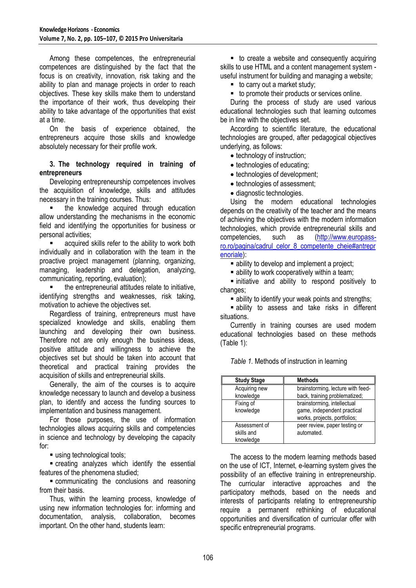Among these competences, the entrepreneurial competences are distinguished by the fact that the focus is on creativity, innovation, risk taking and the ability to plan and manage projects in order to reach objectives. These key skills make them to understand the importance of their work, thus developing their ability to take advantage of the opportunities that exist at a time.

On the basis of experience obtained, the entrepreneurs acquire those skills and knowledge absolutely necessary for their profile work.

#### **3. The technology required in training of entrepreneurs**

Developing entrepreneurship competences involves the acquisition of knowledge, skills and attitudes necessary in the training courses. Thus:

 the knowledge acquired through education allow understanding the mechanisms in the economic field and identifying the opportunities for business or personal activities;

 acquired skills refer to the ability to work both individually and in collaboration with the team in the proactive project management (planning, organizing, managing, leadership and delegation, analyzing, communicating, reporting, evaluation);

 the entrepreneurial attitudes relate to initiative, identifying strengths and weaknesses, risk taking, motivation to achieve the objectives set.

Regardless of training, entrepreneurs must have specialized knowledge and skills, enabling them launching and developing their own business. Therefore not are only enough the business ideas, positive attitude and willingness to achieve the objectives set but should be taken into account that theoretical and practical training provides the acquisition of skills and entrepreneurial skills.

Generally, the aim of the courses is to acquire knowledge necessary to launch and develop a business plan, to identify and access the funding sources to implementation and business management.

For those purposes, the use of information technologies allows acquiring skills and competencies in science and technology by developing the capacity for:

using technological tools;

 creating analyzes which identify the essential features of the phenomena studied;

 communicating the conclusions and reasoning from their basis.

Thus, within the learning process, knowledge of using new information technologies for: informing and documentation, analysis, collaboration, becomes important. On the other hand, students learn:

■ to create a website and consequently acquiring skills to use HTML and a content management system useful instrument for building and managing a website;

■ to carry out a market study;

■ to promote their products or services online.

During the process of study are used various educational technologies such that learning outcomes be in line with the objectives set.

According to scientific literature, the educational technologies are grouped, after pedagogical objectives underlying, as follows:

- technology of instruction;
- technologies of educating;
- technologies of development;
- technologies of assessment;
- diagnostic technologies.

Using the modern educational technologies depends on the creativity of the teacher and the means of achieving the objectives with the modern information technologies, which provide entrepreneurial skills and competencies, such as [\(http://www.europass](http://www.europass-ro.ro/pagina/cadrul_celor_8_competente_cheie#antreprenoriale)[ro.ro/pagina/cadrul\\_celor\\_8\\_competente\\_cheie#antrepr](http://www.europass-ro.ro/pagina/cadrul_celor_8_competente_cheie#antreprenoriale) [enoriale\)](http://www.europass-ro.ro/pagina/cadrul_celor_8_competente_cheie#antreprenoriale):

• ability to develop and implement a project;

**Example 1** ability to work cooperatively within a team:

 $\blacksquare$  initiative and ability to respond positively to changes;

ability to identify your weak points and strengths;

 ability to assess and take risks in different situations.

Currently in training courses are used modern educational technologies based on these methods (Table 1):

*Table 1.* Methods of instruction in learning

| <b>Study Stage</b>                       | <b>Methods</b>                                                                             |
|------------------------------------------|--------------------------------------------------------------------------------------------|
| Acquiring new<br>knowledge               | brainstorming, lecture with feed-<br>back, training problematized;                         |
| Fixing of<br>knowledge                   | brainstorming, intellectual<br>game, independent practical<br>works, projects, portfolios; |
| Assessment of<br>skills and<br>knowledge | peer review, paper testing or<br>automated.                                                |

The access to the modern learning methods based on the use of ICT, Internet, e-learning system gives the possibility of an effective training in entrepreneurship. The curricular interactive approaches and the participatory methods, based on the needs and interests of participants relating to entrepreneurship require a permanent rethinking of educational opportunities and diversification of curricular offer with specific entrepreneurial programs.